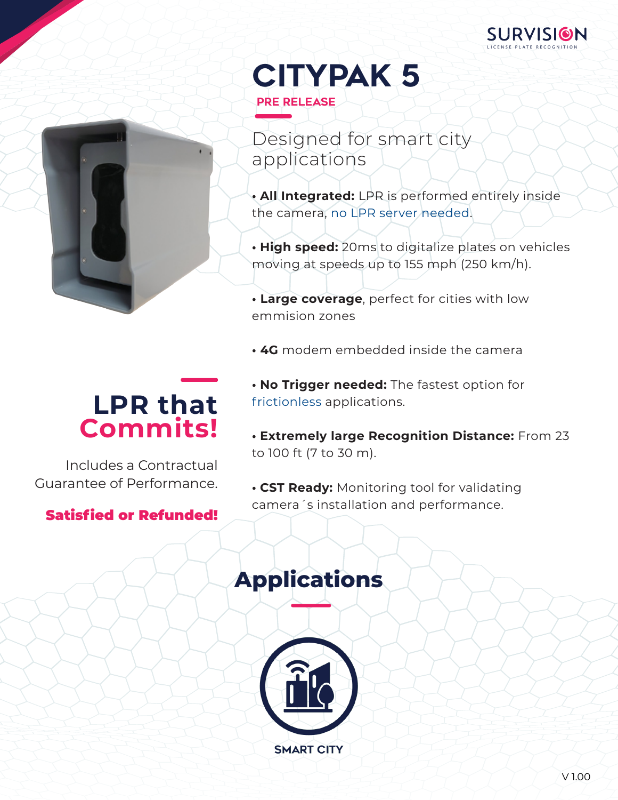



- Designed for smart city applications
- **• All Integrated:** LPR is performed entirely inside the camera, no LPR server needed.
- **• High speed:** 20ms to digitalize plates on vehicles moving at speeds up to 155 mph (250 km/h).
- **Large coverage**, perfect for cities with low emmision zones
- **4G** modem embedded inside the camera

# **LPR that Commits!**

Includes a Contractual Guarantee of Performance.

## Satisfied or Refunded!

- **• No Trigger needed:** The fastest option for frictionless applications.
- **• Extremely large Recognition Distance:** From 23 to 100 ft (7 to 30 m).
- **• CST Ready:** Monitoring tool for validating camera´s installation and performance.

# **Applications**

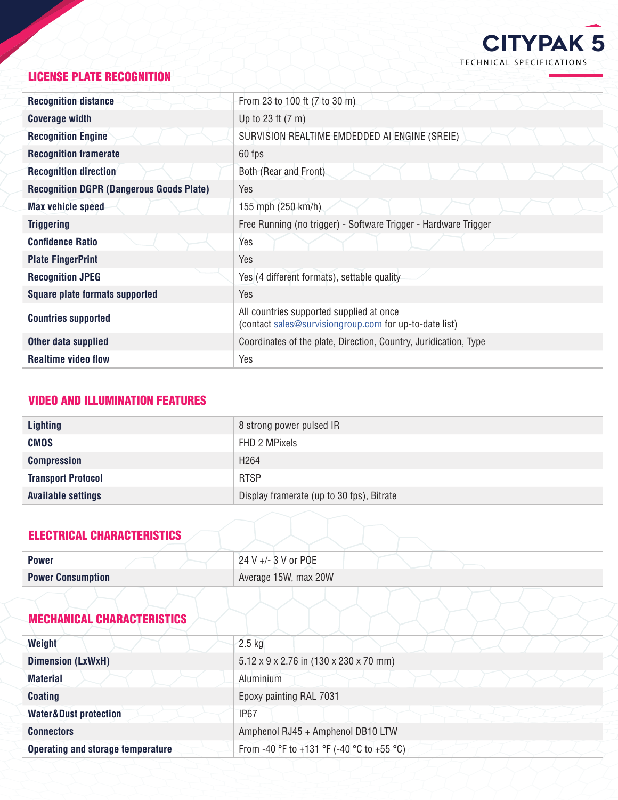

#### LICENSE PLATE RECOGNITION

| <b>Recognition distance</b>                     | From 23 to 100 ft (7 to 30 m).                                                                     |
|-------------------------------------------------|----------------------------------------------------------------------------------------------------|
| <b>Coverage width</b>                           | Up to 23 ft $(7 \text{ m})$                                                                        |
| <b>Recognition Engine</b>                       | SURVISION REALTIME EMDEDDED AI ENGINE (SREIE)                                                      |
| <b>Recognition framerate</b>                    | 60 fps                                                                                             |
| <b>Recognition direction</b>                    | Both (Rear and Front)                                                                              |
| <b>Recognition DGPR (Dangerous Goods Plate)</b> | Yes                                                                                                |
| <b>Max vehicle speed</b>                        | 155 mph (250 km/h)                                                                                 |
| <b>Triggering</b>                               | Free Running (no trigger) - Software Trigger - Hardware Trigger                                    |
| <b>Confidence Ratio</b>                         | Yes                                                                                                |
| <b>Plate FingerPrint</b>                        | Yes                                                                                                |
| <b>Recognition JPEG</b>                         | Yes (4 different formats), settable quality                                                        |
| <b>Square plate formats supported</b>           | Yes                                                                                                |
| <b>Countries supported</b>                      | All countries supported supplied at once<br>(contact sales@survisiongroup.com for up-to-date list) |
| Other data supplied                             | Coordinates of the plate, Direction, Country, Juridication, Type                                   |
| <b>Realtime video flow</b>                      | Yes                                                                                                |

#### VIDEO AND ILLUMINATION FEATURES

| <b>Lighting</b>           | 8 strong power pulsed IR                  |
|---------------------------|-------------------------------------------|
| <b>CMOS</b>               | FHD 2 MPixels                             |
| <b>Compression</b>        | H <sub>264</sub>                          |
| <b>Transport Protocol</b> | <b>RTSP</b>                               |
| <b>Available settings</b> | Display framerate (up to 30 fps), Bitrate |

#### ELECTRICAL CHARACTERISTICS

| Average 15W, max 20W<br><b>Power Consumption</b> |  |
|--------------------------------------------------|--|

#### MECHANICAL CHARACTERISTICS

| Weight                                   | $2.5$ kg                                                       |
|------------------------------------------|----------------------------------------------------------------|
| <b>Dimension (LxWxH)</b>                 | $5.12 \times 9 \times 2.76$ in $(130 \times 230 \times 70$ mm) |
| <b>Material</b>                          | Aluminium                                                      |
| <b>Coating</b>                           | Epoxy painting RAL 7031                                        |
| <b>Water&amp;Dust protection</b>         | <b>IP67</b>                                                    |
| <b>Connectors</b>                        | Amphenol RJ45 + Amphenol DB10 LTW                              |
| <b>Operating and storage temperature</b> | From -40 °F to +131 °F (-40 °C to +55 °C)                      |